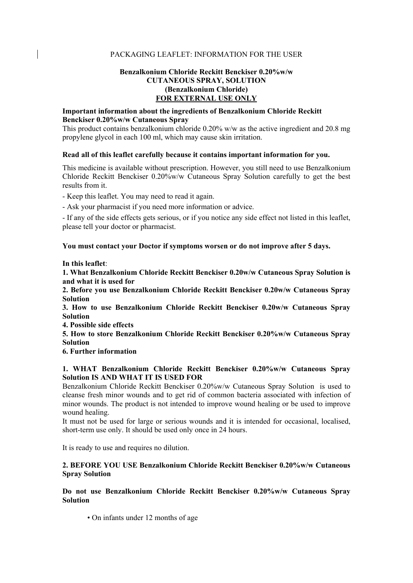## PACKAGING LEAFLET: INFORMATION FOR THE USER

# **Benzalkonium Chloride Reckitt Benckiser 0.20%w/w CUTANEOUS SPRAY, SOLUTION (Benzalkonium Chloride) FOR EXTERNAL USE ONLY**

### **Important information about the ingredients of Benzalkonium Chloride Reckitt Benckiser 0.20%w/w Cutaneous Spray**

This product contains benzalkonium chloride 0.20% w/w as the active ingredient and 20.8 mg propylene glycol in each 100 ml, which may cause skin irritation.

#### **Read all of this leaflet carefully because it contains important information for you.**

This medicine is available without prescription. However, you still need to use Benzalkonium Chloride Reckitt Benckiser 0.20%w/w Cutaneous Spray Solution carefully to get the best results from it.

- Keep this leaflet. You may need to read it again.

- Ask your pharmacist if you need more information or advice.

- If any of the side effects gets serious, or if you notice any side effect not listed in this leaflet, please tell your doctor or pharmacist.

**You must contact your Doctor if symptoms worsen or do not improve after 5 days.** 

**In this leaflet**:

**1. What Benzalkonium Chloride Reckitt Benckiser 0.20w/w Cutaneous Spray Solution is and what it is used for** 

**2. Before you use Benzalkonium Chloride Reckitt Benckiser 0.20w/w Cutaneous Spray Solution** 

**3. How to use Benzalkonium Chloride Reckitt Benckiser 0.20w/w Cutaneous Spray Solution** 

**4. Possible side effects** 

**5. How to store Benzalkonium Chloride Reckitt Benckiser 0.20%w/w Cutaneous Spray Solution** 

**6. Further information** 

## **1. WHAT Benzalkonium Chloride Reckitt Benckiser 0.20%w/w Cutaneous Spray Solution IS AND WHAT IT IS USED FOR**

Benzalkonium Chloride Reckitt Benckiser 0.20%w/w Cutaneous Spray Solution is used to cleanse fresh minor wounds and to get rid of common bacteria associated with infection of minor wounds. The product is not intended to improve wound healing or be used to improve wound healing.

It must not be used for large or serious wounds and it is intended for occasional, localised, short-term use only. It should be used only once in 24 hours.

It is ready to use and requires no dilution.

## **2. BEFORE YOU USE Benzalkonium Chloride Reckitt Benckiser 0.20%w/w Cutaneous Spray Solution**

## **Do not use Benzalkonium Chloride Reckitt Benckiser 0.20%w/w Cutaneous Spray Solution**

• On infants under 12 months of age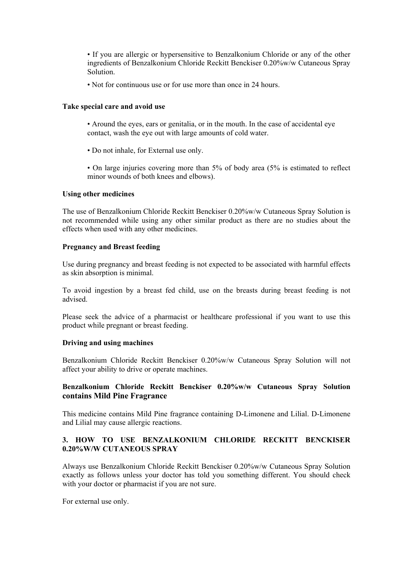• If you are allergic or hypersensitive to Benzalkonium Chloride or any of the other ingredients of Benzalkonium Chloride Reckitt Benckiser 0.20%w/w Cutaneous Spray Solution.

• Not for continuous use or for use more than once in 24 hours.

### **Take special care and avoid use**

- Around the eyes, ears or genitalia, or in the mouth. In the case of accidental eye contact, wash the eye out with large amounts of cold water.
- Do not inhale, for External use only.
- On large injuries covering more than 5% of body area (5% is estimated to reflect minor wounds of both knees and elbows).

### **Using other medicines**

The use of Benzalkonium Chloride Reckitt Benckiser 0.20%w/w Cutaneous Spray Solution is not recommended while using any other similar product as there are no studies about the effects when used with any other medicines.

### **Pregnancy and Breast feeding**

Use during pregnancy and breast feeding is not expected to be associated with harmful effects as skin absorption is minimal.

To avoid ingestion by a breast fed child, use on the breasts during breast feeding is not advised.

Please seek the advice of a pharmacist or healthcare professional if you want to use this product while pregnant or breast feeding.

#### **Driving and using machines**

Benzalkonium Chloride Reckitt Benckiser 0.20%w/w Cutaneous Spray Solution will not affect your ability to drive or operate machines.

# **Benzalkonium Chloride Reckitt Benckiser 0.20%w/w Cutaneous Spray Solution contains Mild Pine Fragrance**

This medicine contains Mild Pine fragrance containing D-Limonene and Lilial. D-Limonene and Lilial may cause allergic reactions.

## **3. HOW TO USE BENZALKONIUM CHLORIDE RECKITT BENCKISER 0.20%W/W CUTANEOUS SPRAY**

Always use Benzalkonium Chloride Reckitt Benckiser 0.20%w/w Cutaneous Spray Solution exactly as follows unless your doctor has told you something different. You should check with your doctor or pharmacist if you are not sure.

For external use only.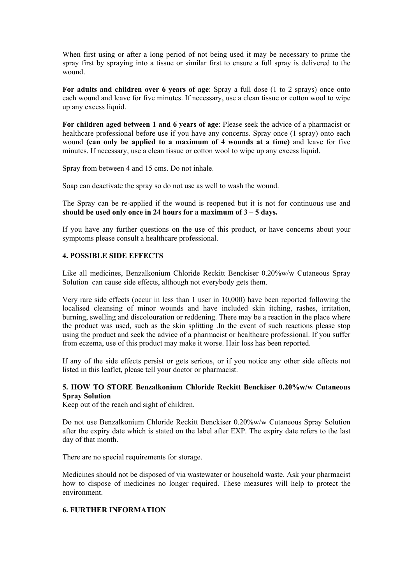When first using or after a long period of not being used it may be necessary to prime the spray first by spraying into a tissue or similar first to ensure a full spray is delivered to the wound.

**For adults and children over 6 years of age**: Spray a full dose (1 to 2 sprays) once onto each wound and leave for five minutes. If necessary, use a clean tissue or cotton wool to wipe up any excess liquid.

**For children aged between 1 and 6 years of age**: Please seek the advice of a pharmacist or healthcare professional before use if you have any concerns. Spray once (1 spray) onto each wound **(can only be applied to a maximum of 4 wounds at a time)** and leave for five minutes. If necessary, use a clean tissue or cotton wool to wipe up any excess liquid.

Spray from between 4 and 15 cms. Do not inhale.

Soap can deactivate the spray so do not use as well to wash the wound.

The Spray can be re-applied if the wound is reopened but it is not for continuous use and **should be used only once in 24 hours for a maximum of 3 – 5 days.** 

If you have any further questions on the use of this product, or have concerns about your symptoms please consult a healthcare professional.

# **4. POSSIBLE SIDE EFFECTS**

Like all medicines, Benzalkonium Chloride Reckitt Benckiser 0.20%w/w Cutaneous Spray Solution can cause side effects, although not everybody gets them.

Very rare side effects (occur in less than 1 user in 10,000) have been reported following the localised cleansing of minor wounds and have included skin itching, rashes, irritation, burning, swelling and discolouration or reddening. There may be a reaction in the place where the product was used, such as the skin splitting .In the event of such reactions please stop using the product and seek the advice of a pharmacist or healthcare professional. If you suffer from eczema, use of this product may make it worse. Hair loss has been reported.

If any of the side effects persist or gets serious, or if you notice any other side effects not listed in this leaflet, please tell your doctor or pharmacist.

## **5. HOW TO STORE Benzalkonium Chloride Reckitt Benckiser 0.20%w/w Cutaneous Spray Solution**

Keep out of the reach and sight of children.

Do not use Benzalkonium Chloride Reckitt Benckiser 0.20%w/w Cutaneous Spray Solution after the expiry date which is stated on the label after EXP. The expiry date refers to the last day of that month.

There are no special requirements for storage.

Medicines should not be disposed of via wastewater or household waste. Ask your pharmacist how to dispose of medicines no longer required. These measures will help to protect the environment.

## **6. FURTHER INFORMATION**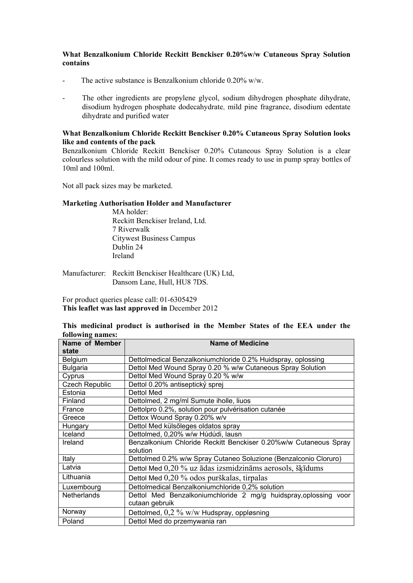## **What Benzalkonium Chloride Reckitt Benckiser 0.20%w/w Cutaneous Spray Solution contains**

- The active substance is Benzalkonium chloride 0.20% w/w.
- The other ingredients are propylene glycol, sodium dihydrogen phosphate dihydrate, disodium hydrogen phosphate dodecahydrate, mild pine fragrance, disodium edentate dihydrate and purified water

## **What Benzalkonium Chloride Reckitt Benckiser 0.20% Cutaneous Spray Solution looks like and contents of the pack**

Benzalkonium Chloride Reckitt Benckiser 0.20% Cutaneous Spray Solution is a clear colourless solution with the mild odour of pine. It comes ready to use in pump spray bottles of 10ml and 100ml.

Not all pack sizes may be marketed.

## **Marketing Authorisation Holder and Manufacturer**

MA holder: Reckitt Benckiser Ireland, Ltd. 7 Riverwalk Citywest Business Campus Dublin 24 Ireland

Manufacturer: Reckitt Benckiser Healthcare (UK) Ltd, Dansom Lane, Hull, HU8 7DS.

For product queries please call: 01-6305429 **This leaflet was last approved in** December 2012

# **This medicinal product is authorised in the Member States of the EEA under the following names:**

| Name of Member<br>state | <b>Name of Medicine</b>                                                      |
|-------------------------|------------------------------------------------------------------------------|
| Belgium                 | Dettolmedical Benzalkoniumchloride 0.2% Huidspray, oplossing                 |
| <b>Bulgaria</b>         | Dettol Med Wound Spray 0.20 % w/w Cutaneous Spray Solution                   |
| Cyprus                  | Dettol Med Wound Spray 0.20 % w/w                                            |
| Czech Republic          | Dettol 0.20% antiseptický sprej                                              |
| Estonia                 | Dettol Med                                                                   |
| Finland                 | Dettolmed, 2 mg/ml Sumute iholle, liuos                                      |
| France                  | Dettolpro 0.2%, solution pour pulvérisation cutanée                          |
| Greece                  | Dettox Wound Spray 0.20% w/v                                                 |
| Hungary                 | Dettol Med külsőleges oldatos spray                                          |
| Iceland                 | Dettolmed, 0,20% w/w Húdúdi, lausn                                           |
| Ireland                 | Benzalkonium Chloride Reckitt Benckiser 0.20%w/w Cutaneous Spray<br>solution |
| Italy                   | Dettolmed 0.2% w/w Spray Cutaneo Soluzione (Benzalconio Cloruro)             |
| Latvia                  | Dettol Med 0,20 % uz ādas izsmidzināms aerosols, šķīdums                     |
| Lithuania               | Dettol Med 0,20 % odos purškalas, tirpalas                                   |
| Luxembourg              | Dettolmedical Benzalkoniumchloride 0,2% solution                             |
| <b>Netherlands</b>      | Dettol Med Benzalkoniumchloride 2 mg/g huidspray, oplossing voor             |
|                         | cutaan gebruik                                                               |
| Norway                  | Dettolmed, $0.2\%$ w/w Hudspray, oppløsning                                  |
| Poland                  | Dettol Med do przemywania ran                                                |